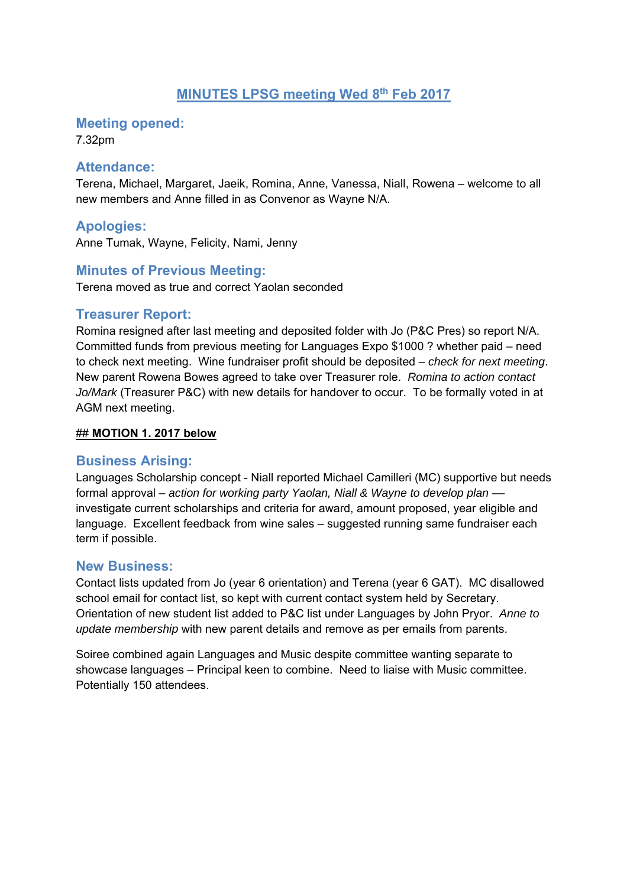# **MINUTES LPSG meeting Wed 8th Feb 2017**

#### **Meeting opened:**

7.32pm

#### **Attendance:**

Terena, Michael, Margaret, Jaeik, Romina, Anne, Vanessa, Niall, Rowena – welcome to all new members and Anne filled in as Convenor as Wayne N/A.

### **Apologies:**

Anne Tumak, Wayne, Felicity, Nami, Jenny

### **Minutes of Previous Meeting:**

Terena moved as true and correct Yaolan seconded

#### **Treasurer Report:**

Romina resigned after last meeting and deposited folder with Jo (P&C Pres) so report N/A. Committed funds from previous meeting for Languages Expo \$1000 ? whether paid – need to check next meeting. Wine fundraiser profit should be deposited – *check for next meeting*. New parent Rowena Bowes agreed to take over Treasurer role. *Romina to action contact Jo/Mark* (Treasurer P&C) with new details for handover to occur. To be formally voted in at AGM next meeting.

#### ## **MOTION 1. 2017 below**

#### **Business Arising:**

Languages Scholarship concept - Niall reported Michael Camilleri (MC) supportive but needs formal approval – *action for working party Yaolan, Niall & Wayne to develop plan* –– investigate current scholarships and criteria for award, amount proposed, year eligible and language. Excellent feedback from wine sales – suggested running same fundraiser each term if possible.

#### **New Business:**

Contact lists updated from Jo (year 6 orientation) and Terena (year 6 GAT). MC disallowed school email for contact list, so kept with current contact system held by Secretary. Orientation of new student list added to P&C list under Languages by John Pryor. *Anne to update membership* with new parent details and remove as per emails from parents.

Soiree combined again Languages and Music despite committee wanting separate to showcase languages – Principal keen to combine. Need to liaise with Music committee. Potentially 150 attendees.